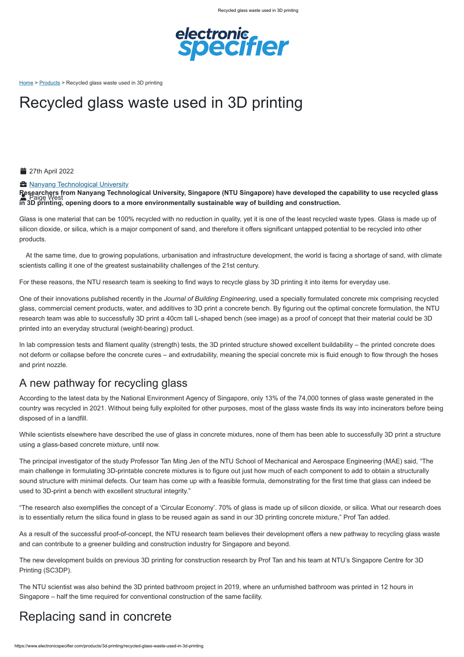

[Home](https://www.electronicspecifier.com/) > [Products](https://www.electronicspecifier.com/products/) > Recycled glass waste used in 3D printing

https://www.electronicspecifier.com/products/3d-printing/recycled-glass-waste-used-in-3d-printing

**Researchers from Nanyang Technological University, Singapore (NTU Singapore) have developed the capability to use recycled glass in 3D printing, opening doors to a more environmentally sustainable way of building and construction. Paige West** 

# Recycled glass waste used in 3D printing

**27th April 2022** 

#### **A** [Nanyang Technological University](https://www.electronicspecifier.com/companies/nanyang-technological-university)

Glass is one material that can be 100% recycled with no reduction in quality, yet it is one of the least recycled waste types. Glass is made up of silicon dioxide, or silica, which is a major component of sand, and therefore it offers significant untapped potential to be recycled into other products.

At the same time, due to growing populations, urbanisation and infrastructure development, the world is facing a shortage of sand, with climate scientists calling it one of the greatest sustainability challenges of the 21st century.

For these reasons, the NTU research team is seeking to find ways to recycle glass by 3D printing it into items for everyday use.

One of their innovations published recently in the *Journal of Building Engineering*, used a specially formulated concrete mix comprising recycled glass, commercial cement products, water, and additives to 3D print a concrete bench. By figuring out the optimal concrete formulation, the NTU research team was able to successfully 3D print a 40cm tall L-shaped bench (see image) as a proof of concept that their material could be 3D printed into an everyday structural (weight-bearing) product.

In lab compression tests and filament quality (strength) tests, the 3D printed structure showed excellent buildability – the printed concrete does not deform or collapse before the concrete cures – and extrudability, meaning the special concrete mix is fluid enough to flow through the hoses and print nozzle.

### A new pathway for recycling glass

According to the latest data by the National Environment Agency of Singapore, only 13% of the 74,000 tonnes of glass waste generated in the country was recycled in 2021. Without being fully exploited for other purposes, most of the glass waste finds its way into incinerators before being disposed of in a landfill.

While scientists elsewhere have described the use of glass in concrete mixtures, none of them has been able to successfully 3D print a structure using a glass-based concrete mixture, until now.

The principal investigator of the study Professor Tan Ming Jen of the NTU School of Mechanical and Aerospace Engineering (MAE) said, "The main challenge in formulating 3D-printable concrete mixtures is to figure out just how much of each component to add to obtain a structurally sound structure with minimal defects. Our team has come up with a feasible formula, demonstrating for the first time that glass can indeed be used to 3D-print a bench with excellent structural integrity."

"The research also exemplifies the concept of a 'Circular Economy'. 70% of glass is made up of silicon dioxide, or silica. What our research does is to essentially return the silica found in glass to be reused again as sand in our 3D printing concrete mixture," Prof Tan added.

As a result of the successful proof-of-concept, the NTU research team believes their development offers a new pathway to recycling glass waste and can contribute to a greener building and construction industry for Singapore and beyond.

The new development builds on previous 3D printing for construction research by Prof Tan and his team at NTU's Singapore Centre for 3D Printing (SC3DP).

The NTU scientist was also behind the 3D printed bathroom project in 2019, where an unfurnished bathroom was printed in 12 hours in Singapore – half the time required for conventional construction of the same facility.

# Replacing sand in concrete